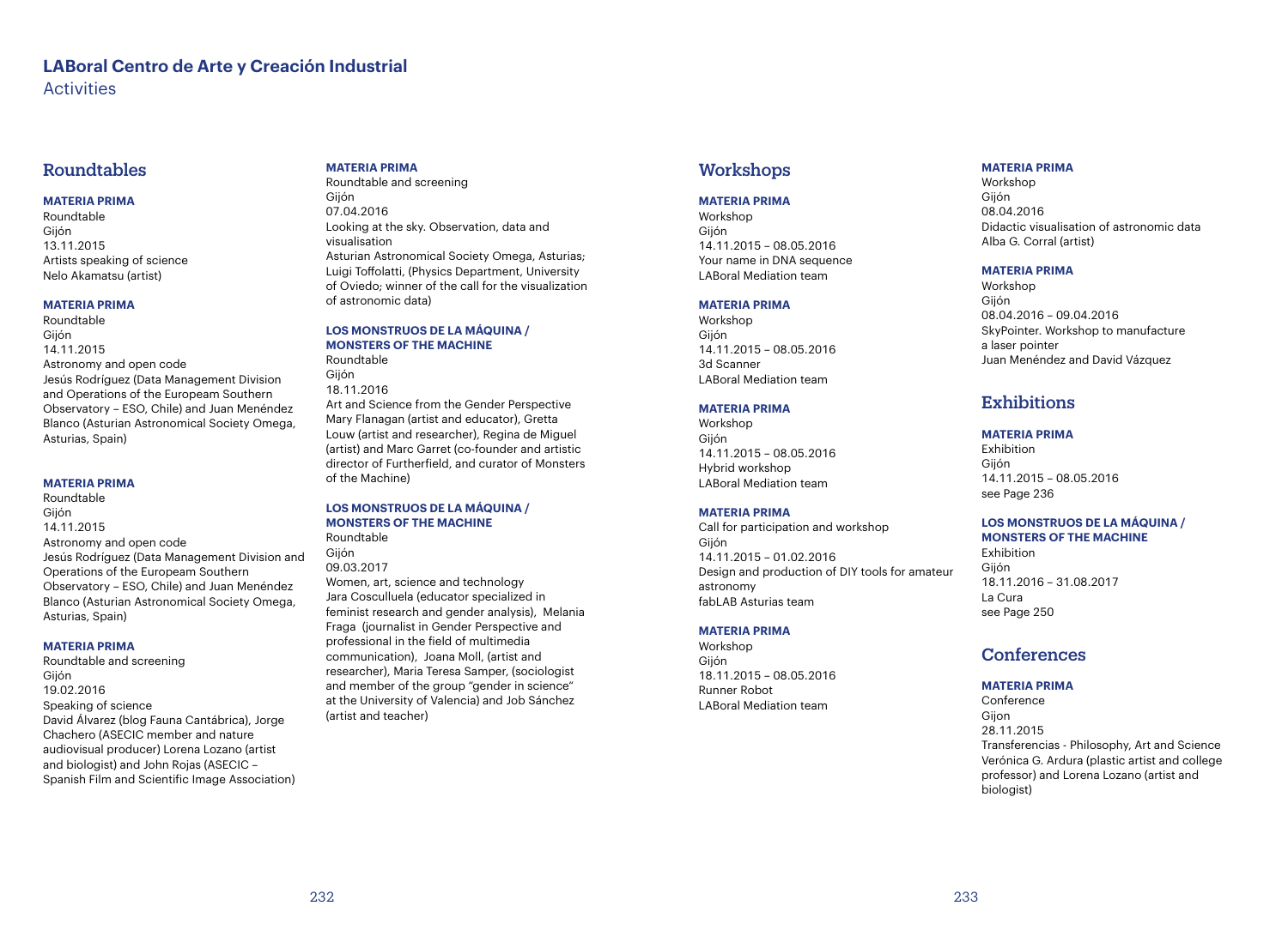# **LABoral Centro de Arte y Creación Industrial Activities**

# Roundtables

# **MATERIA PRIMA**

Roundtable Gijón 13.11.2015 Artists speaking of science Nelo Akamatsu (artist)

## **MATERIA PRIMA**

Roundtable Gijón 14.11.2015 Astronomy and open code Jesús Rodríguez (Data Management Division and Operations of the Europeam Southern Observatory – ESO, Chile) and Juan Menéndez Blanco (Asturian Astronomical Society Omega, Asturias, Spain)

## **MATERIA PRIMA**

Roundtable Gijón 14.11.2015 Astronomy and open code Jesús Rodríguez (Data Management Division and Operations of the Europeam Southern Observatory – ESO, Chile) and Juan Menéndez Blanco (Asturian Astronomical Society Omega, Asturias, Spain)

# **MATERIA PRIMA**

Roundtable and screening Gijón 19.02.2016 Speaking of science David Álvarez (blog Fauna Cantábrica), Jorge Chachero (ASECIC member and nature audiovisual producer) Lorena Lozano (artist and biologist) and John Rojas (ASECIC – Spanish Film and Scientific Image Association)

### **MATERIA PRIMA**

Roundtable and screening Gijón 07.04.2016 Looking at the sky. Observation, data and visualisation Asturian Astronomical Society Omega, Asturias; Luigi Toffolatti, (Physics Department, University of Oviedo; winner of the call for the visualization of astronomic data)

**LOS MONSTRUOS DE LA MÁQUINA / MONSTERS OF THE MACHINE**  Roundtable

Gijón 18.11.2016 Art and Science from the Gender Perspective Mary Flanagan (artist and educator), Gretta Louw (artist and researcher), Regina de Miguel (artist) and Marc Garret (co-founder and artistic director of Furtherfield, and curator of Monsters of the Machine)

#### **LOS MONSTRUOS DE LA MÁQUINA / MONSTERS OF THE MACHINE** Roundtable

09.03.2017 Women, art, science and technology Jara Cosculluela (educator specialized in feminist research and gender analysis), Melania Fraga (journalist in Gender Perspective and professional in the field of multimedia communication), Joana Moll, (artist and researcher), Maria Teresa Samper, (sociologist and member of the group "gender in science" at the University of Valencia) and Job Sánchez (artist and teacher)

# **Workshops**

#### **MATERIA PRIMA**

Workshop Gijón 14.11.2015 – 08.05.2016 Your name in DNA sequence LABoral Mediation team

## **MATERIA PRIMA**

Workshop Gijón 14.11.2015 – 08.05.2016 3d Scanner LABoral Mediation team

# **MATERIA PRIMA**

Workshop Gijón 14.11.2015 – 08.05.2016 Hybrid workshop LABoral Mediation team

## **MATERIA PRIMA**

Call for participation and workshop Gijón 14.11.2015 – 01.02.2016 Design and production of DIY tools for amateur astronomy fabLAB Asturias team

## **MATERIA PRIMA**

Workshop Gijón 18.11.2015 – 08.05.2016 Runner Robot LABoral Mediation team

# **MATERIA PRIMA**

Workshop Gijón 08.04.2016 Didactic visualisation of astronomic data Alba G. Corral (artist)

## **MATERIA PRIMA**

Workshop Gijón 08.04.2016 – 09.04.2016 SkyPointer. Workshop to manufacture a laser pointer Juan Menéndez and David Vázquez

# **Exhibitions**

# **MATERIA PRIMA**

Exhibition Gijón 14.11.2015 – 08.05.2016 see Page 236

#### **LOS MONSTRUOS DE LA MÁQUINA / MONSTERS OF THE MACHINE** Exhibition

Gijón 18.11.2016 – 31.08.2017 La Cura see Page 250

# **Conferences**

# **MATERIA PRIMA**

Conference Gijon 28.11.2015 Transferencias - Philosophy, Art and Science Verónica G. Ardura (plastic artist and college professor) and Lorena Lozano (artist and biologist)

Gijón